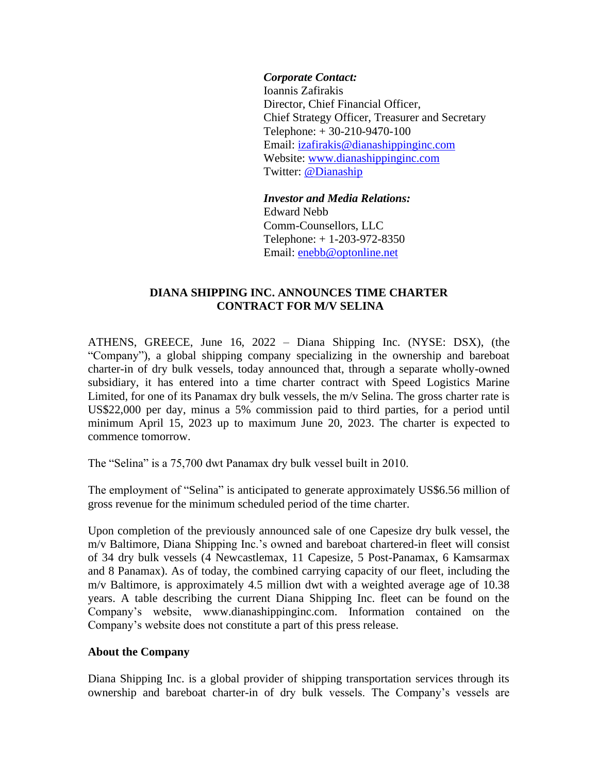## *Corporate Contact:*

Ioannis Zafirakis Director, Chief Financial Officer, Chief Strategy Officer, Treasurer and Secretary Telephone: + 30-210-9470-100 Email: izafirakis@dianashippinginc.com Website: [www.dianashippinginc.com](http://www.dianashippinginc.com/) Twitter: [@Dianaship](https://twitter.com/Dianaship)

*Investor and Media Relations:* Edward Nebb Comm-Counsellors, LLC Telephone: + 1-203-972-8350 Email: enebb@optonline.net

## **DIANA SHIPPING INC. ANNOUNCES TIME CHARTER CONTRACT FOR M/V SELINA**

ATHENS, GREECE, June 16, 2022 – Diana Shipping Inc. (NYSE: DSX), (the "Company"), a global shipping company specializing in the ownership and bareboat charter-in of dry bulk vessels, today announced that, through a separate wholly-owned subsidiary, it has entered into a time charter contract with Speed Logistics Marine Limited, for one of its Panamax dry bulk vessels, the m/v Selina. The gross charter rate is US\$22,000 per day, minus a 5% commission paid to third parties, for a period until minimum April 15, 2023 up to maximum June 20, 2023. The charter is expected to commence tomorrow.

The "Selina" is a 75,700 dwt Panamax dry bulk vessel built in 2010.

The employment of "Selina" is anticipated to generate approximately US\$6.56 million of gross revenue for the minimum scheduled period of the time charter.

Upon completion of the previously announced sale of one Capesize dry bulk vessel, the m/v Baltimore, Diana Shipping Inc.'s owned and bareboat chartered-in fleet will consist of 34 dry bulk vessels (4 Newcastlemax, 11 Capesize, 5 Post-Panamax, 6 Kamsarmax and 8 Panamax). As of today, the combined carrying capacity of our fleet, including the m/v Baltimore, is approximately 4.5 million dwt with a weighted average age of 10.38 years. A table describing the current Diana Shipping Inc. fleet can be found on the Company's website, www.dianashippinginc.com. Information contained on the Company's website does not constitute a part of this press release.

## **About the Company**

Diana Shipping Inc. is a global provider of shipping transportation services through its ownership and bareboat charter-in of dry bulk vessels. The Company's vessels are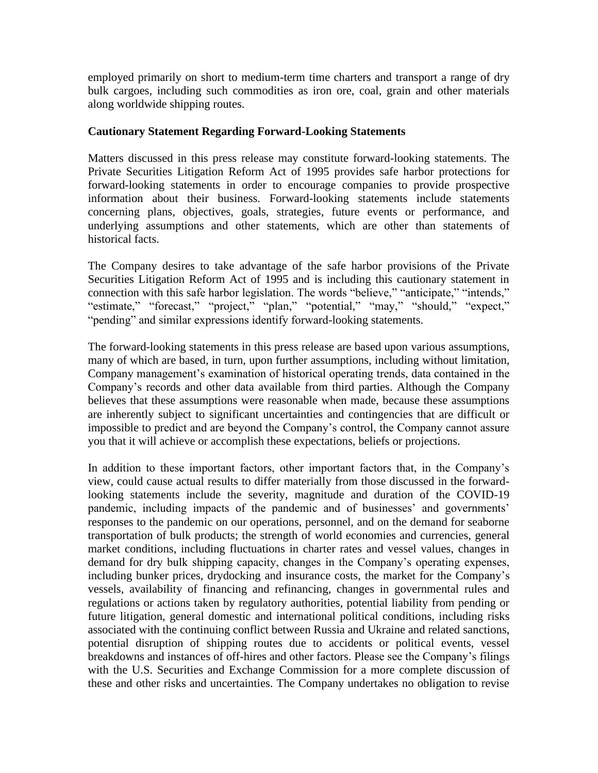employed primarily on short to medium-term time charters and transport a range of dry bulk cargoes, including such commodities as iron ore, coal, grain and other materials along worldwide shipping routes.

## **Cautionary Statement Regarding Forward-Looking Statements**

Matters discussed in this press release may constitute forward-looking statements. The Private Securities Litigation Reform Act of 1995 provides safe harbor protections for forward-looking statements in order to encourage companies to provide prospective information about their business. Forward-looking statements include statements concerning plans, objectives, goals, strategies, future events or performance, and underlying assumptions and other statements, which are other than statements of historical facts.

The Company desires to take advantage of the safe harbor provisions of the Private Securities Litigation Reform Act of 1995 and is including this cautionary statement in connection with this safe harbor legislation. The words "believe," "anticipate," "intends," "estimate," "forecast," "project," "plan," "potential," "may," "should," "expect," "pending" and similar expressions identify forward-looking statements.

The forward-looking statements in this press release are based upon various assumptions, many of which are based, in turn, upon further assumptions, including without limitation, Company management's examination of historical operating trends, data contained in the Company's records and other data available from third parties. Although the Company believes that these assumptions were reasonable when made, because these assumptions are inherently subject to significant uncertainties and contingencies that are difficult or impossible to predict and are beyond the Company's control, the Company cannot assure you that it will achieve or accomplish these expectations, beliefs or projections.

In addition to these important factors, other important factors that, in the Company's view, could cause actual results to differ materially from those discussed in the forwardlooking statements include the severity, magnitude and duration of the COVID-19 pandemic, including impacts of the pandemic and of businesses' and governments' responses to the pandemic on our operations, personnel, and on the demand for seaborne transportation of bulk products; the strength of world economies and currencies, general market conditions, including fluctuations in charter rates and vessel values, changes in demand for dry bulk shipping capacity, changes in the Company's operating expenses, including bunker prices, drydocking and insurance costs, the market for the Company's vessels, availability of financing and refinancing, changes in governmental rules and regulations or actions taken by regulatory authorities, potential liability from pending or future litigation, general domestic and international political conditions, including risks associated with the continuing conflict between Russia and Ukraine and related sanctions, potential disruption of shipping routes due to accidents or political events, vessel breakdowns and instances of off-hires and other factors. Please see the Company's filings with the U.S. Securities and Exchange Commission for a more complete discussion of these and other risks and uncertainties. The Company undertakes no obligation to revise